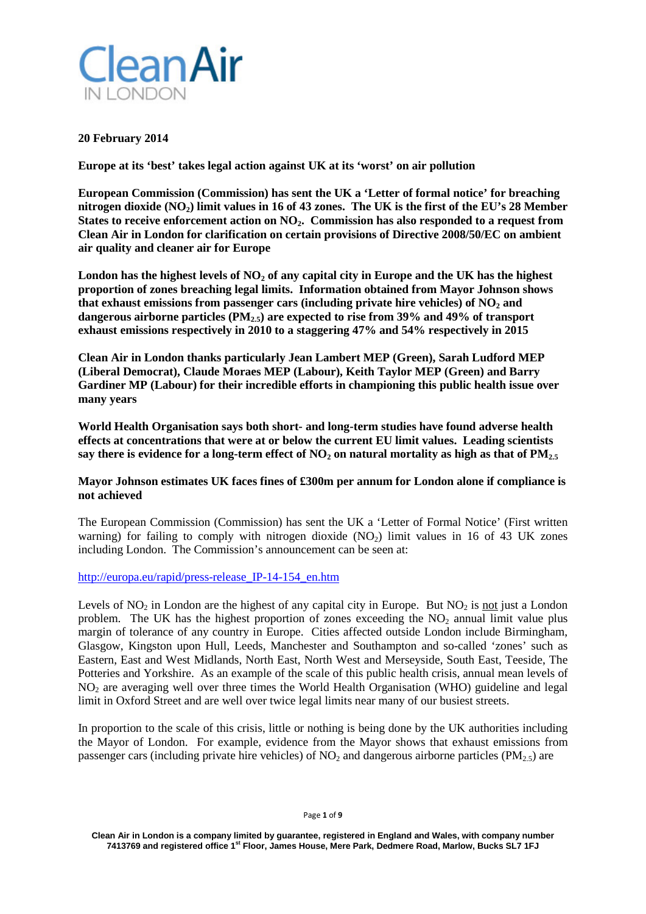

### **20 February 2014**

**Europe at its 'best' takes legal action against UK at its 'worst' on air pollution**

**European Commission (Commission) has sent the UK a 'Letter of formal notice' for breaching nitrogen dioxide (NO2) limit values in 16 of 43 zones. The UK is the first of the EU's 28 Member States to receive enforcement action on NO2. Commission has also responded to a request from Clean Air in London for clarification on certain provisions of Directive 2008/50/EC on ambient air quality and cleaner air for Europe**

London has the highest levels of NO<sub>2</sub> of any capital city in Europe and the UK has the highest **proportion of zones breaching legal limits. Information obtained from Mayor Johnson shows** that exhaust emissions from passenger cars (including private hire vehicles) of  $NO<sub>2</sub>$  and **dangerous airborne particles (PM2.5) are expected to rise from 39% and 49% of transport exhaust emissions respectively in 2010 to a staggering 47% and 54% respectively in 2015**

**Clean Air in London thanks particularly Jean Lambert MEP (Green), Sarah Ludford MEP (Liberal Democrat), Claude Moraes MEP (Labour), Keith Taylor MEP (Green) and Barry Gardiner MP (Labour) for their incredible efforts in championing this public health issue over many years**

**World Health Organisation says both short- and long-term studies have found adverse health effects at concentrations that were at or below the current EU limit values. Leading scientists**  say there is evidence for a long-term effect of  $NO<sub>2</sub>$  on natural mortality as high as that of  $PM<sub>2.5</sub>$ 

# **Mayor Johnson estimates UK faces fines of £300m per annum for London alone if compliance is not achieved**

The European Commission (Commission) has sent the UK a 'Letter of Formal Notice' (First written warning) for failing to comply with nitrogen dioxide  $(NO<sub>2</sub>)$  limit values in 16 of 43 UK zones including London. The Commission's announcement can be seen at:

[http://europa.eu/rapid/press-release\\_IP-14-154\\_en.htm](http://europa.eu/rapid/press-release_IP-14-154_en.htm)

Levels of  $NO<sub>2</sub>$  in London are the highest of any capital city in Europe. But  $NO<sub>2</sub>$  is not just a London problem. The UK has the highest proportion of zones exceeding the  $NO<sub>2</sub>$  annual limit value plus margin of tolerance of any country in Europe. Cities affected outside London include Birmingham, Glasgow, Kingston upon Hull, Leeds, Manchester and Southampton and so-called 'zones' such as Eastern, East and West Midlands, North East, North West and Merseyside, South East, Teeside, The Potteries and Yorkshire. As an example of the scale of this public health crisis, annual mean levels of NO2 are averaging well over three times the World Health Organisation (WHO) guideline and legal limit in Oxford Street and are well over twice legal limits near many of our busiest streets.

In proportion to the scale of this crisis, little or nothing is being done by the UK authorities including the Mayor of London. For example, evidence from the Mayor shows that exhaust emissions from passenger cars (including private hire vehicles) of  $NO<sub>2</sub>$  and dangerous airborne particles ( $PM<sub>25</sub>$ ) are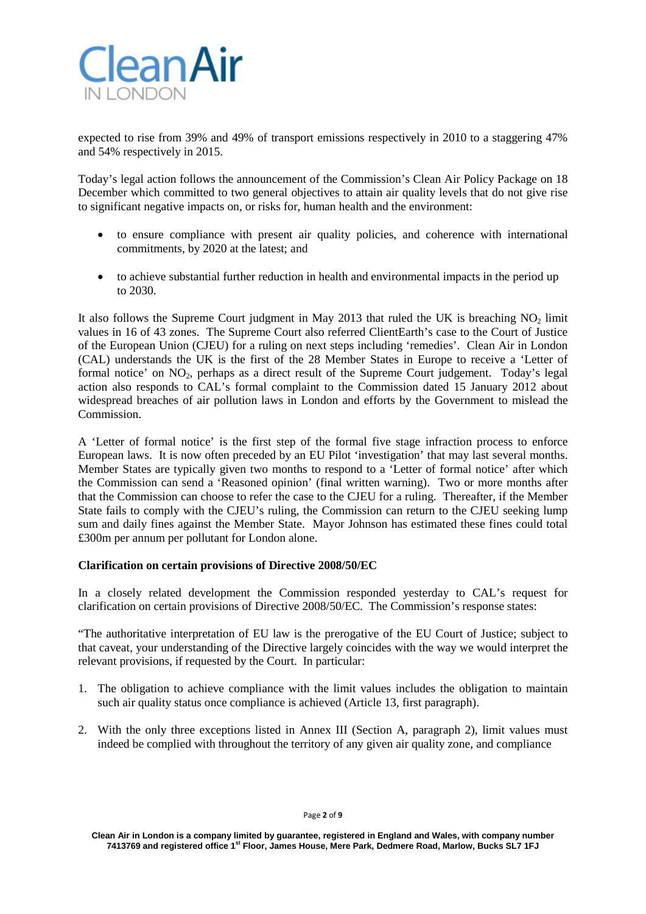

expected to rise from 39% and 49% of transport emissions respectively in 2010 to a staggering 47% and 54% respectively in 2015.

Today's legal action follows the announcement of the Commission's Clean Air Policy Package on 18 December which committed to two general objectives to attain air quality levels that do not give rise to significant negative impacts on, or risks for, human health and the environment:

- to ensure compliance with present air quality policies, and coherence with international commitments, by 2020 at the latest; and
- to achieve substantial further reduction in health and environmental impacts in the period up to 2030.

It also follows the Supreme Court judgment in May 2013 that ruled the UK is breaching  $NO<sub>2</sub>$  limit values in 16 of 43 zones. The Supreme Court also referred ClientEarth's case to the Court of Justice of the European Union (CJEU) for a ruling on next steps including 'remedies'. Clean Air in London (CAL) understands the UK is the first of the 28 Member States in Europe to receive a 'Letter of formal notice' on  $NO_2$ , perhaps as a direct result of the Supreme Court judgement. Today's legal action also responds to CAL's formal complaint to the Commission dated 15 January 2012 about widespread breaches of air pollution laws in London and efforts by the Government to mislead the Commission.

A 'Letter of formal notice' is the first step of the formal five stage infraction process to enforce European laws. It is now often preceded by an EU Pilot 'investigation' that may last several months. Member States are typically given two months to respond to a 'Letter of formal notice' after which the Commission can send a 'Reasoned opinion' (final written warning). Two or more months after that the Commission can choose to refer the case to the CJEU for a ruling. Thereafter, if the Member State fails to comply with the CJEU's ruling, the Commission can return to the CJEU seeking lump sum and daily fines against the Member State. Mayor Johnson has estimated these fines could total £300m per annum per pollutant for London alone.

# **Clarification on certain provisions of Directive 2008/50/EC**

In a closely related development the Commission responded yesterday to CAL's request for clarification on certain provisions of Directive 2008/50/EC. The Commission's response states:

"The authoritative interpretation of EU law is the prerogative of the EU Court of Justice; subject to that caveat, your understanding of the Directive largely coincides with the way we would interpret the relevant provisions, if requested by the Court. In particular:

- 1. The obligation to achieve compliance with the limit values includes the obligation to maintain such air quality status once compliance is achieved (Article 13, first paragraph).
- 2. With the only three exceptions listed in Annex III (Section A, paragraph 2), limit values must indeed be complied with throughout the territory of any given air quality zone, and compliance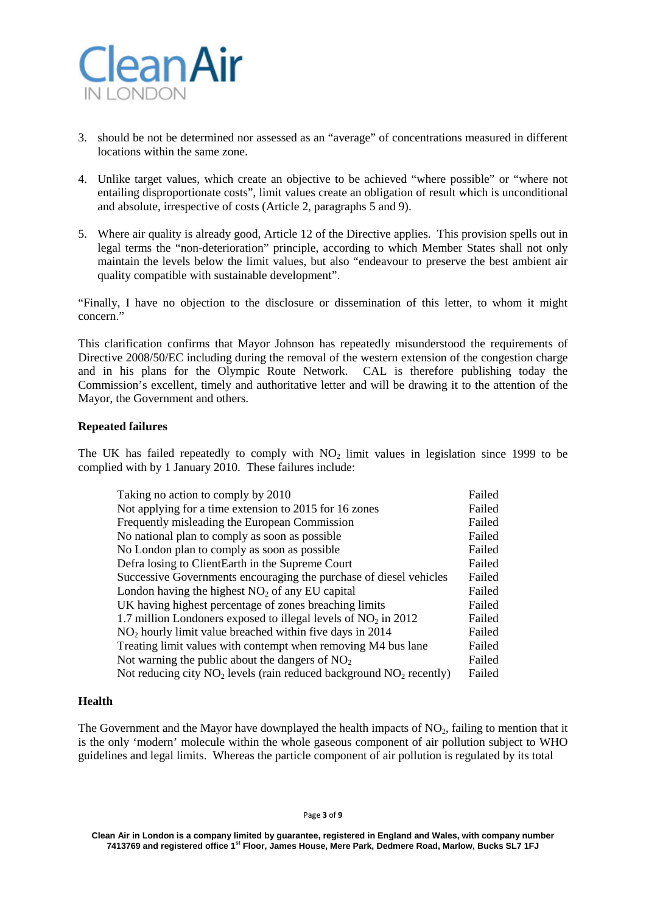

- 3. should be not be determined nor assessed as an "average" of concentrations measured in different locations within the same zone.
- 4. Unlike target values, which create an objective to be achieved "where possible" or "where not entailing disproportionate costs", limit values create an obligation of result which is unconditional and absolute, irrespective of costs (Article 2, paragraphs 5 and 9).
- 5. Where air quality is already good, Article 12 of the Directive applies. This provision spells out in legal terms the "non-deterioration" principle, according to which Member States shall not only maintain the levels below the limit values, but also "endeavour to preserve the best ambient air quality compatible with sustainable development".

"Finally, I have no objection to the disclosure or dissemination of this letter, to whom it might concern."

This clarification confirms that Mayor Johnson has repeatedly misunderstood the requirements of Directive 2008/50/EC including during the removal of the western extension of the congestion charge and in his plans for the Olympic Route Network. CAL is therefore publishing today the Commission's excellent, timely and authoritative letter and will be drawing it to the attention of the Mayor, the Government and others.

### **Repeated failures**

The UK has failed repeatedly to comply with  $NO<sub>2</sub>$  limit values in legislation since 1999 to be complied with by 1 January 2010. These failures include:

| Taking no action to comply by 2010                                        | Failed |
|---------------------------------------------------------------------------|--------|
| Not applying for a time extension to 2015 for 16 zones                    | Failed |
| Frequently misleading the European Commission                             | Failed |
| No national plan to comply as soon as possible                            | Failed |
| No London plan to comply as soon as possible.                             | Failed |
| Defra losing to ClientEarth in the Supreme Court                          | Failed |
| Successive Governments encouraging the purchase of diesel vehicles        | Failed |
| London having the highest $NO2$ of any EU capital                         | Failed |
| UK having highest percentage of zones breaching limits                    | Failed |
| 1.7 million Londoners exposed to illegal levels of $NO2$ in 2012          | Failed |
| $NO2$ hourly limit value breached within five days in 2014                | Failed |
| Treating limit values with contempt when removing M4 bus lane             | Failed |
| Not warning the public about the dangers of $NO2$                         | Failed |
| Not reducing city $NO_2$ levels (rain reduced background $NO_2$ recently) | Failed |

#### **Health**

The Government and the Mayor have downplayed the health impacts of  $NO<sub>2</sub>$ , failing to mention that it is the only 'modern' molecule within the whole gaseous component of air pollution subject to WHO guidelines and legal limits. Whereas the particle component of air pollution is regulated by its total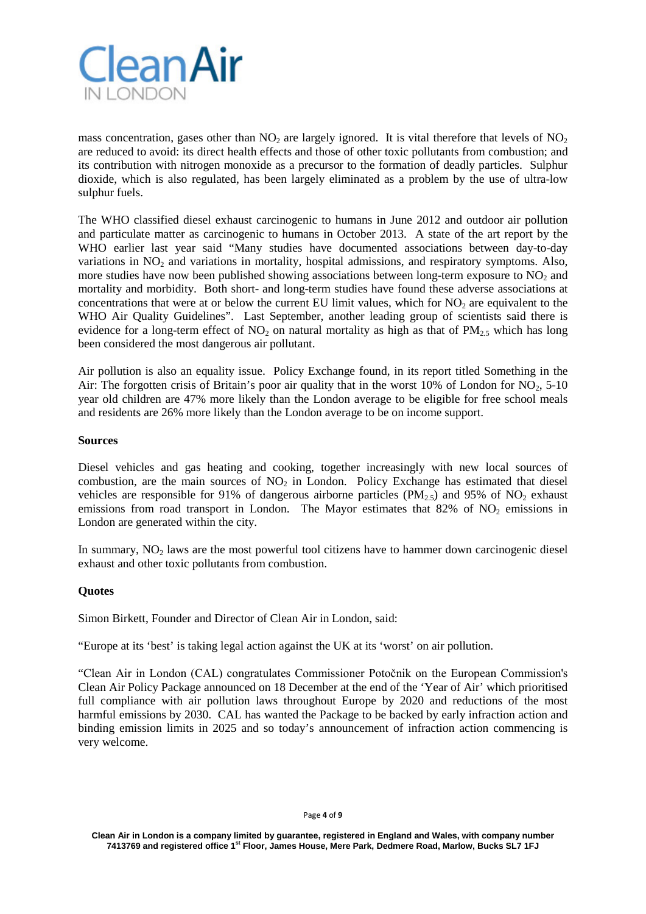

mass concentration, gases other than  $NO<sub>2</sub>$  are largely ignored. It is vital therefore that levels of  $NO<sub>2</sub>$ are reduced to avoid: its direct health effects and those of other toxic pollutants from combustion; and its contribution with nitrogen monoxide as a precursor to the formation of deadly particles. Sulphur dioxide, which is also regulated, has been largely eliminated as a problem by the use of ultra-low sulphur fuels.

The WHO classified diesel exhaust carcinogenic to humans in June 2012 and outdoor air pollution and particulate matter as carcinogenic to humans in October 2013. A state of the art report by the WHO earlier last year said "Many studies have documented associations between day-to-day variations in  $NO<sub>2</sub>$  and variations in mortality, hospital admissions, and respiratory symptoms. Also, more studies have now been published showing associations between long-term exposure to  $NO<sub>2</sub>$  and mortality and morbidity. Both short- and long-term studies have found these adverse associations at concentrations that were at or below the current EU limit values, which for  $NO<sub>2</sub>$  are equivalent to the WHO Air Quality Guidelines". Last September, another leading group of scientists said there is evidence for a long-term effect of  $NO<sub>2</sub>$  on natural mortality as high as that of  $PM<sub>2.5</sub>$  which has long been considered the most dangerous air pollutant.

Air pollution is also an equality issue. Policy Exchange found, in its report titled Something in the Air: The forgotten crisis of Britain's poor air quality that in the worst  $10\%$  of London for NO<sub>2</sub>, 5-10 year old children are 47% more likely than the London average to be eligible for free school meals and residents are 26% more likely than the London average to be on income support.

### **Sources**

Diesel vehicles and gas heating and cooking, together increasingly with new local sources of combustion, are the main sources of  $NO<sub>2</sub>$  in London. Policy Exchange has estimated that diesel vehicles are responsible for 91% of dangerous airborne particles ( $PM_{2.5}$ ) and 95% of  $NO_2$  exhaust emissions from road transport in London. The Mayor estimates that  $82\%$  of NO<sub>2</sub> emissions in London are generated within the city.

In summary,  $NO<sub>2</sub>$  laws are the most powerful tool citizens have to hammer down carcinogenic diesel exhaust and other toxic pollutants from combustion.

# **Quotes**

Simon Birkett, Founder and Director of Clean Air in London, said:

"Europe at its 'best' is taking legal action against the UK at its 'worst' on air pollution.

"Clean Air in London (CAL) congratulates Commissioner Potočnik on the European Commission's Clean Air Policy Package announced on 18 December at the end of the 'Year of Air' which prioritised full compliance with air pollution laws throughout Europe by 2020 and reductions of the most harmful emissions by 2030. CAL has wanted the Package to be backed by early infraction action and binding emission limits in 2025 and so today's announcement of infraction action commencing is very welcome.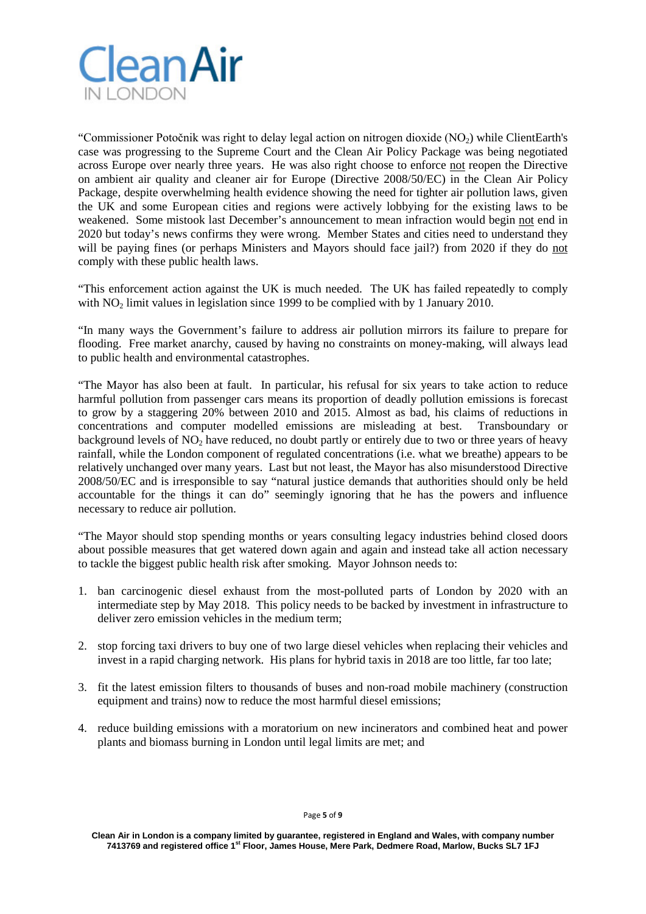

"Commissioner Potočnik was right to delay legal action on nitrogen dioxide (NO2) while ClientEarth's case was progressing to the Supreme Court and the Clean Air Policy Package was being negotiated across Europe over nearly three years. He was also right choose to enforce not reopen the Directive on ambient air quality and cleaner air for Europe (Directive 2008/50/EC) in the Clean Air Policy Package, despite overwhelming health evidence showing the need for tighter air pollution laws, given the UK and some European cities and regions were actively lobbying for the existing laws to be weakened. Some mistook last December's announcement to mean infraction would begin not end in 2020 but today's news confirms they were wrong. Member States and cities need to understand they will be paying fines (or perhaps Ministers and Mayors should face jail?) from 2020 if they do not comply with these public health laws.

"This enforcement action against the UK is much needed. The UK has failed repeatedly to comply with  $NO<sub>2</sub>$  limit values in legislation since 1999 to be complied with by 1 January 2010.

"In many ways the Government's failure to address air pollution mirrors its failure to prepare for flooding. Free market anarchy, caused by having no constraints on money-making, will always lead to public health and environmental catastrophes.

"The Mayor has also been at fault. In particular, his refusal for six years to take action to reduce harmful pollution from passenger cars means its proportion of deadly pollution emissions is forecast to grow by a staggering 20% between 2010 and 2015. Almost as bad, his claims of reductions in concentrations and computer modelled emissions are misleading at best. Transboundary or background levels of  $NO<sub>2</sub>$  have reduced, no doubt partly or entirely due to two or three years of heavy rainfall, while the London component of regulated concentrations (i.e. what we breathe) appears to be relatively unchanged over many years. Last but not least, the Mayor has also misunderstood Directive 2008/50/EC and is irresponsible to say "natural justice demands that authorities should only be held accountable for the things it can do" seemingly ignoring that he has the powers and influence necessary to reduce air pollution.

"The Mayor should stop spending months or years consulting legacy industries behind closed doors about possible measures that get watered down again and again and instead take all action necessary to tackle the biggest public health risk after smoking. Mayor Johnson needs to:

- 1. ban carcinogenic diesel exhaust from the most-polluted parts of London by 2020 with an intermediate step by May 2018. This policy needs to be backed by investment in infrastructure to deliver zero emission vehicles in the medium term;
- 2. stop forcing taxi drivers to buy one of two large diesel vehicles when replacing their vehicles and invest in a rapid charging network. His plans for hybrid taxis in 2018 are too little, far too late;
- 3. fit the latest emission filters to thousands of buses and non-road mobile machinery (construction equipment and trains) now to reduce the most harmful diesel emissions;
- 4. reduce building emissions with a moratorium on new incinerators and combined heat and power plants and biomass burning in London until legal limits are met; and

Page **5** of **9**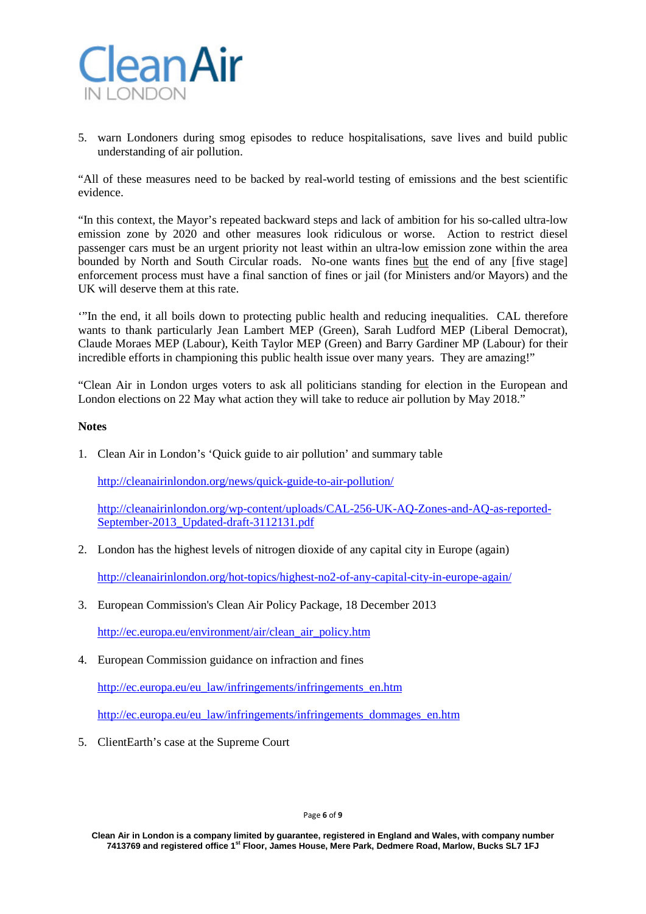

5. warn Londoners during smog episodes to reduce hospitalisations, save lives and build public understanding of air pollution.

"All of these measures need to be backed by real-world testing of emissions and the best scientific evidence.

"In this context, the Mayor's repeated backward steps and lack of ambition for his so-called ultra-low emission zone by 2020 and other measures look ridiculous or worse. Action to restrict diesel passenger cars must be an urgent priority not least within an ultra-low emission zone within the area bounded by North and South Circular roads. No-one wants fines but the end of any [five stage] enforcement process must have a final sanction of fines or jail (for Ministers and/or Mayors) and the UK will deserve them at this rate.

'"In the end, it all boils down to protecting public health and reducing inequalities. CAL therefore wants to thank particularly Jean Lambert MEP (Green), Sarah Ludford MEP (Liberal Democrat), Claude Moraes MEP (Labour), Keith Taylor MEP (Green) and Barry Gardiner MP (Labour) for their incredible efforts in championing this public health issue over many years. They are amazing!"

"Clean Air in London urges voters to ask all politicians standing for election in the European and London elections on 22 May what action they will take to reduce air pollution by May 2018."

#### **Notes**

1. Clean Air in London's 'Quick guide to air pollution' and summary table

<http://cleanairinlondon.org/news/quick-guide-to-air-pollution/>

[http://cleanairinlondon.org/wp-content/uploads/CAL-256-UK-AQ-Zones-and-AQ-as-reported-](http://cleanairinlondon.org/wp-content/uploads/CAL-256-UK-AQ-Zones-and-AQ-as-reported-September-2013_Updated-draft-3112131.pdf)[September-2013\\_Updated-draft-3112131.pdf](http://cleanairinlondon.org/wp-content/uploads/CAL-256-UK-AQ-Zones-and-AQ-as-reported-September-2013_Updated-draft-3112131.pdf)

2. London has the highest levels of nitrogen dioxide of any capital city in Europe (again)

<http://cleanairinlondon.org/hot-topics/highest-no2-of-any-capital-city-in-europe-again/>

3. European Commission's Clean Air Policy Package, 18 December 2013

[http://ec.europa.eu/environment/air/clean\\_air\\_policy.htm](http://ec.europa.eu/environment/air/clean_air_policy.htm)

4. European Commission guidance on infraction and fines

[http://ec.europa.eu/eu\\_law/infringements/infringements\\_en.htm](http://ec.europa.eu/eu_law/infringements/infringements_en.htm)

[http://ec.europa.eu/eu\\_law/infringements/infringements\\_dommages\\_en.htm](http://ec.europa.eu/eu_law/infringements/infringements_dommages_en.htm)

5. ClientEarth's case at the Supreme Court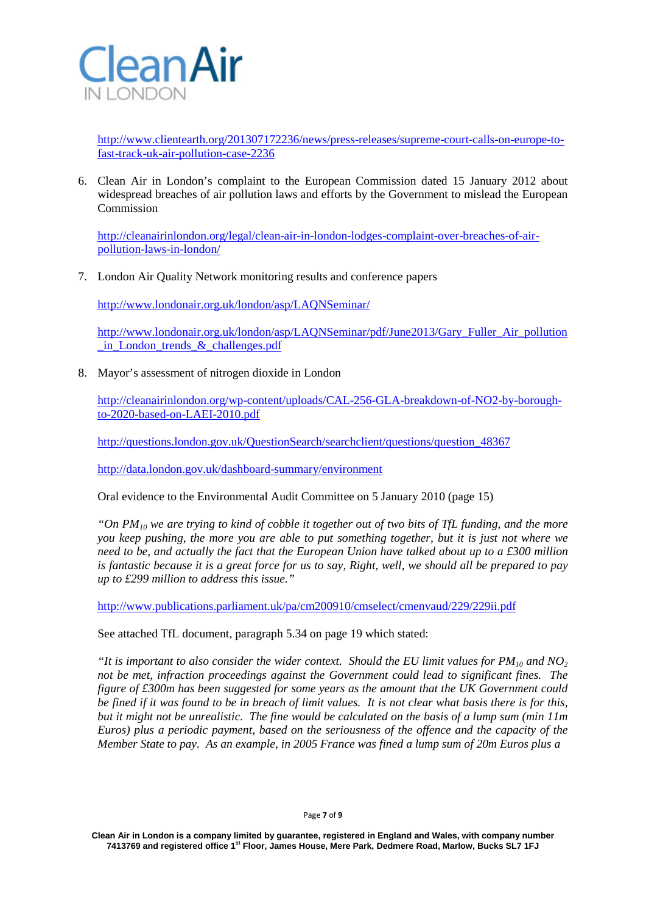

[http://www.clientearth.org/201307172236/news/press-releases/supreme-court-calls-on-europe-to](http://www.clientearth.org/201307172236/news/press-releases/supreme-court-calls-on-europe-to-fast-track-uk-air-pollution-case-2236)[fast-track-uk-air-pollution-case-2236](http://www.clientearth.org/201307172236/news/press-releases/supreme-court-calls-on-europe-to-fast-track-uk-air-pollution-case-2236)

6. Clean Air in London's complaint to the European Commission dated 15 January 2012 about widespread breaches of air pollution laws and efforts by the Government to mislead the European Commission

[http://cleanairinlondon.org/legal/clean-air-in-london-lodges-complaint-over-breaches-of-air](http://cleanairinlondon.org/legal/clean-air-in-london-lodges-complaint-over-breaches-of-air-pollution-laws-in-london/)[pollution-laws-in-london/](http://cleanairinlondon.org/legal/clean-air-in-london-lodges-complaint-over-breaches-of-air-pollution-laws-in-london/)

7. London Air Quality Network monitoring results and conference papers

<http://www.londonair.org.uk/london/asp/LAQNSeminar/>

[http://www.londonair.org.uk/london/asp/LAQNSeminar/pdf/June2013/Gary\\_Fuller\\_Air\\_pollution](http://www.londonair.org.uk/london/asp/LAQNSeminar/pdf/June2013/Gary_Fuller_Air_pollution_in_London_trends_&_challenges.pdf) in London trends  $&c{hallenges.pdf}$ 

8. Mayor's assessment of nitrogen dioxide in London

[http://cleanairinlondon.org/wp-content/uploads/CAL-256-GLA-breakdown-of-NO2-by-borough](http://cleanairinlondon.org/wp-content/uploads/CAL-256-GLA-breakdown-of-NO2-by-borough-to-2020-based-on-LAEI-2010.pdf)[to-2020-based-on-LAEI-2010.pdf](http://cleanairinlondon.org/wp-content/uploads/CAL-256-GLA-breakdown-of-NO2-by-borough-to-2020-based-on-LAEI-2010.pdf)

[http://questions.london.gov.uk/QuestionSearch/searchclient/questions/question\\_48367](http://questions.london.gov.uk/QuestionSearch/searchclient/questions/question_48367)

<http://data.london.gov.uk/dashboard-summary/environment>

Oral evidence to the Environmental Audit Committee on 5 January 2010 (page 15)

*"On PM10 we are trying to kind of cobble it together out of two bits of TfL funding, and the more you keep pushing, the more you are able to put something together, but it is just not where we need to be, and actually the fact that the European Union have talked about up to a £300 million is fantastic because it is a great force for us to say, Right, well, we should all be prepared to pay up to £299 million to address this issue."*

<http://www.publications.parliament.uk/pa/cm200910/cmselect/cmenvaud/229/229ii.pdf>

See attached TfL document, paragraph 5.34 on page 19 which stated:

*"It is important to also consider the wider context. Should the EU limit values for*  $PM_{10}$  *and NO<sub>2</sub> not be met, infraction proceedings against the Government could lead to significant fines. The figure of £300m has been suggested for some years as the amount that the UK Government could be fined if it was found to be in breach of limit values. It is not clear what basis there is for this, but it might not be unrealistic. The fine would be calculated on the basis of a lump sum (min 11m Euros) plus a periodic payment, based on the seriousness of the offence and the capacity of the Member State to pay. As an example, in 2005 France was fined a lump sum of 20m Euros plus a*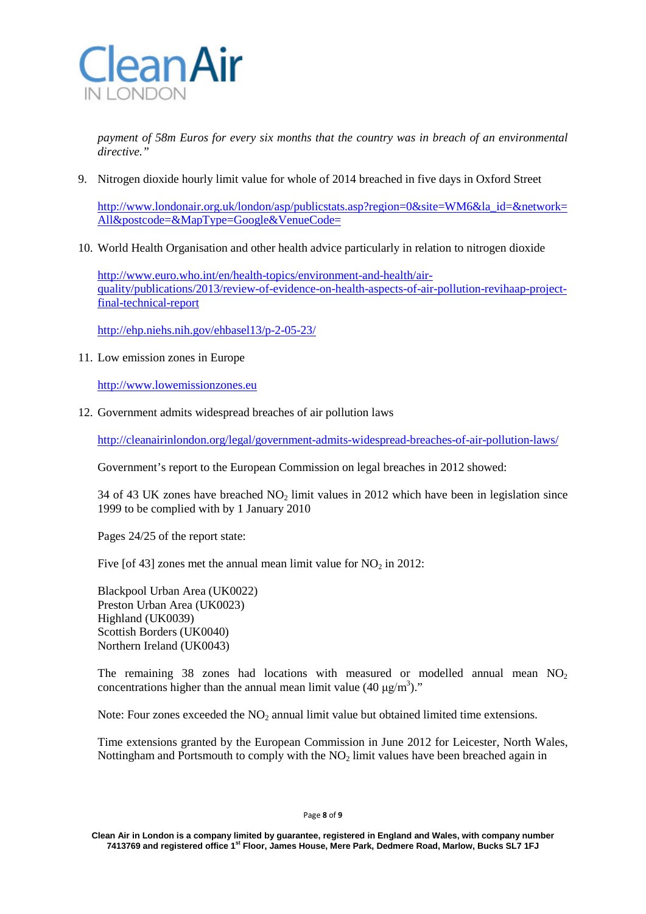

*payment of 58m Euros for every six months that the country was in breach of an environmental directive."*

9. Nitrogen dioxide hourly limit value for whole of 2014 breached in five days in Oxford Street

[http://www.londonair.org.uk/london/asp/publicstats.asp?region=0&site=WM6&la\\_id=&network=](http://www.londonair.org.uk/london/asp/publicstats.asp?region=0&site=WM6&la_id=&network=All&postcode=&MapType=Google&VenueCode=) [All&postcode=&MapType=Google&VenueCode=](http://www.londonair.org.uk/london/asp/publicstats.asp?region=0&site=WM6&la_id=&network=All&postcode=&MapType=Google&VenueCode=)

10. World Health Organisation and other health advice particularly in relation to nitrogen dioxide

[http://www.euro.who.int/en/health-topics/environment-and-health/air](http://www.euro.who.int/en/health-topics/environment-and-health/air-quality/publications/2013/review-of-evidence-on-health-aspects-of-air-pollution-revihaap-project-final-technical-report)[quality/publications/2013/review-of-evidence-on-health-aspects-of-air-pollution-revihaap-project](http://www.euro.who.int/en/health-topics/environment-and-health/air-quality/publications/2013/review-of-evidence-on-health-aspects-of-air-pollution-revihaap-project-final-technical-report)[final-technical-report](http://www.euro.who.int/en/health-topics/environment-and-health/air-quality/publications/2013/review-of-evidence-on-health-aspects-of-air-pollution-revihaap-project-final-technical-report)

<http://ehp.niehs.nih.gov/ehbasel13/p-2-05-23/>

11. Low emission zones in Europe

[http://www.lowemissionzones.eu](http://www.lowemissionzones.eu/)

12. Government admits widespread breaches of air pollution laws

<http://cleanairinlondon.org/legal/government-admits-widespread-breaches-of-air-pollution-laws/>

Government's report to the European Commission on legal breaches in 2012 showed:

34 of 43 UK zones have breached  $NO<sub>2</sub>$  limit values in 2012 which have been in legislation since 1999 to be complied with by 1 January 2010

Pages 24/25 of the report state:

Five [of 43] zones met the annual mean limit value for  $NO<sub>2</sub>$  in 2012:

Blackpool Urban Area (UK0022) Preston Urban Area (UK0023) Highland (UK0039) Scottish Borders (UK0040) Northern Ireland (UK0043)

The remaining 38 zones had locations with measured or modelled annual mean  $NO<sub>2</sub>$ concentrations higher than the annual mean limit value  $(40 \mu g/m^3)$ ."

Note: Four zones exceeded the  $NO<sub>2</sub>$  annual limit value but obtained limited time extensions.

Time extensions granted by the European Commission in June 2012 for Leicester, North Wales, Nottingham and Portsmouth to comply with the  $NO<sub>2</sub>$  limit values have been breached again in

**Clean Air in London is a company limited by guarantee, registered in England and Wales, with company number 7413769 and registered office 1st Floor, James House, Mere Park, Dedmere Road, Marlow, Bucks SL7 1FJ**